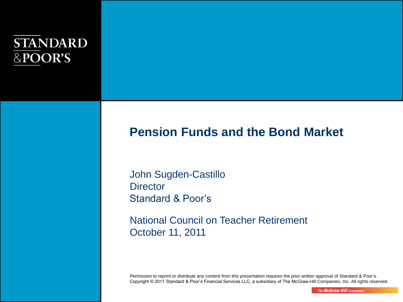## **STANDARD** &POOR'S

## **Pension Funds and the Bond Market**

John Sugden-Castillo **Director** Standard & Poor's

National Council on Teacher Retirement October 11, 2011

Permission to reprint or distribute any content from this presentation requires the prior written approval of Standard & Poor's. Copyright © 2011 Standard & Poor's Financial Services LLC, a subsidiary of The McGraw-Hill Companies, Inc. All rights reserved.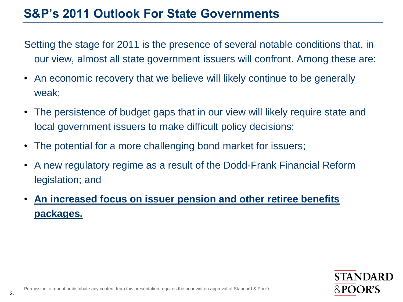## **S&P's 2011 Outlook For State Governments**

Setting the stage for 2011 is the presence of several notable conditions that, in our view, almost all state government issuers will confront. Among these are:

- An economic recovery that we believe will likely continue to be generally weak;
- The persistence of budget gaps that in our view will likely require state and local government issuers to make difficult policy decisions;
- The potential for a more challenging bond market for issuers;
- A new regulatory regime as a result of the Dodd-Frank Financial Reform legislation; and
- **An increased focus on issuer pension and other retiree benefits packages.**

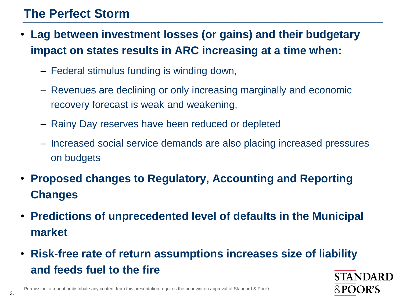## **The Perfect Storm**

- **Lag between investment losses (or gains) and their budgetary impact on states results in ARC increasing at a time when:** 
	- Federal stimulus funding is winding down,
	- Revenues are declining or only increasing marginally and economic recovery forecast is weak and weakening,
	- Rainy Day reserves have been reduced or depleted
	- Increased social service demands are also placing increased pressures on budgets
- **Proposed changes to Regulatory, Accounting and Reporting Changes**
- **Predictions of unprecedented level of defaults in the Municipal market**
- **Risk-free rate of return assumptions increases size of liability and feeds fuel to the fireSTANDARD**

&POOR'S

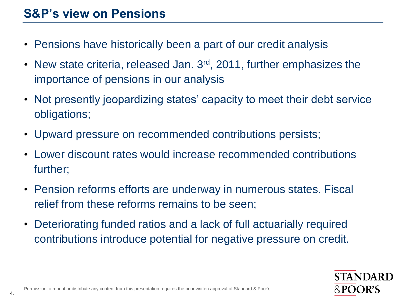- Pensions have historically been a part of our credit analysis
- New state criteria, released Jan. 3<sup>rd</sup>, 2011, further emphasizes the importance of pensions in our analysis
- Not presently jeopardizing states' capacity to meet their debt service obligations;
- Upward pressure on recommended contributions persists;
- Lower discount rates would increase recommended contributions further;
- Pension reforms efforts are underway in numerous states. Fiscal relief from these reforms remains to be seen;
- Deteriorating funded ratios and a lack of full actuarially required contributions introduce potential for negative pressure on credit.



4.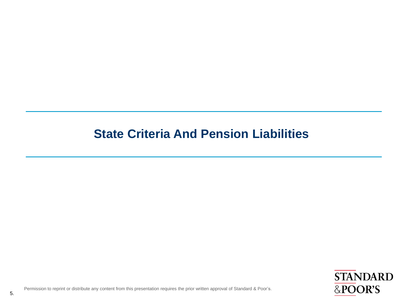## **State Criteria And Pension Liabilities**

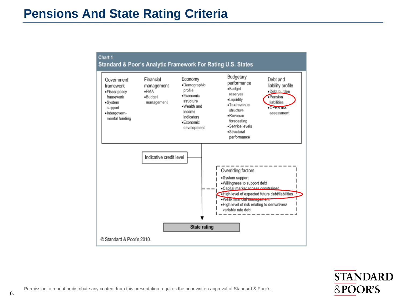### **Pensions And State Rating Criteria**



**STANDARD** &POOR'S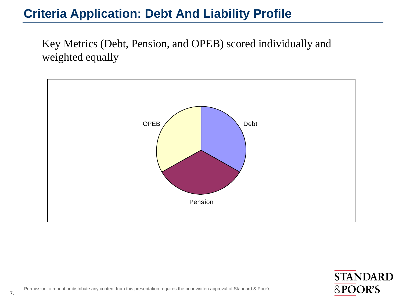## **Criteria Application: Debt And Liability Profile**

Key Metrics (Debt, Pension, and OPEB) scored individually and weighted equally



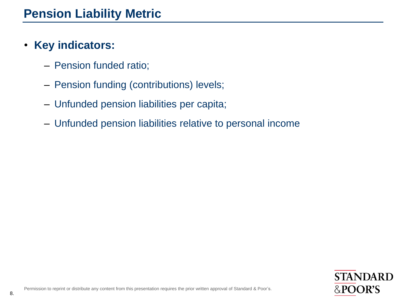### • **Key indicators:**

- Pension funded ratio;
- Pension funding (contributions) levels;
- Unfunded pension liabilities per capita;
- Unfunded pension liabilities relative to personal income

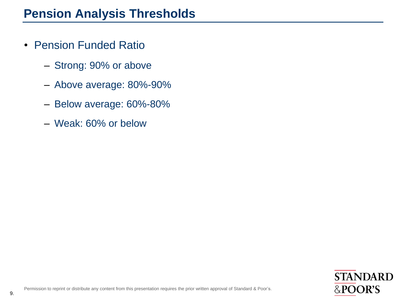- Pension Funded Ratio
	- Strong: 90% or above
	- Above average: 80%-90%
	- Below average: 60%-80%
	- Weak: 60% or below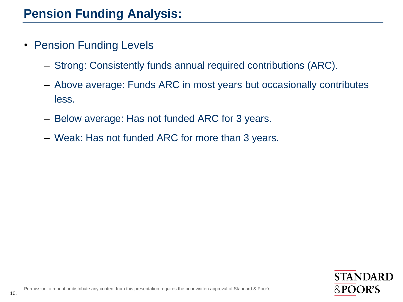- Pension Funding Levels
	- Strong: Consistently funds annual required contributions (ARC).
	- Above average: Funds ARC in most years but occasionally contributes less.
	- Below average: Has not funded ARC for 3 years.
	- Weak: Has not funded ARC for more than 3 years.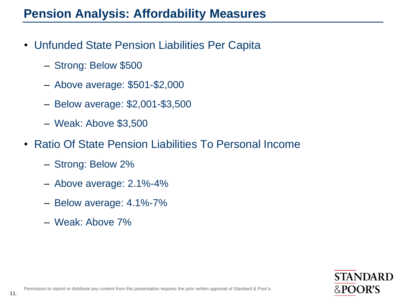## **Pension Analysis: Affordability Measures**

- Unfunded State Pension Liabilities Per Capita
	- Strong: Below \$500
	- Above average: \$501-\$2,000
	- Below average: \$2,001-\$3,500
	- Weak: Above \$3,500
- Ratio Of State Pension Liabilities To Personal Income
	- Strong: Below 2%
	- Above average: 2.1%-4%
	- Below average: 4.1%-7%
	- Weak: Above 7%

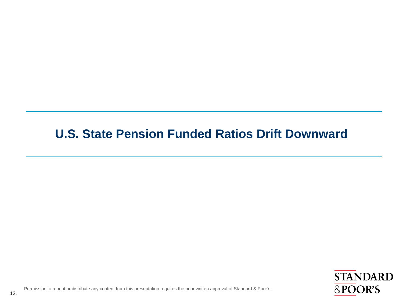## **U.S. State Pension Funded Ratios Drift Downward**

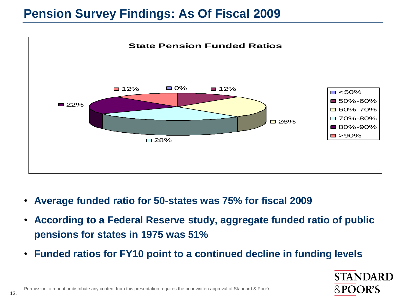## **Pension Survey Findings: As Of Fiscal 2009**



- **Average funded ratio for 50-states was 75% for fiscal 2009**
- **According to a Federal Reserve study, aggregate funded ratio of public pensions for states in 1975 was 51%**
- **Funded ratios for FY10 point to a continued decline in funding levels**

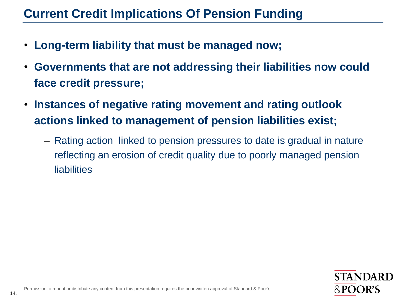## **Current Credit Implications Of Pension Funding**

- **Long-term liability that must be managed now;**
- **Governments that are not addressing their liabilities now could face credit pressure;**
- **Instances of negative rating movement and rating outlook actions linked to management of pension liabilities exist;**
	- Rating action linked to pension pressures to date is gradual in nature reflecting an erosion of credit quality due to poorly managed pension liabilities